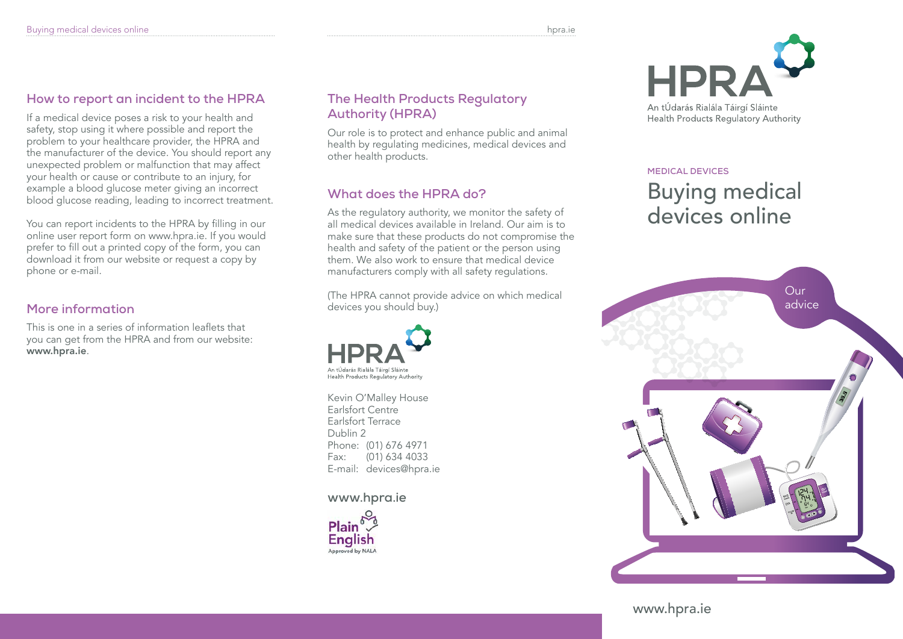## **How to report an incident to the HPRA**

If a medical device poses a risk to your health and safety, stop using it where possible and report the problem to your healthcare provider, the HPRA and the manufacturer of the device. You should report any unexpected problem or malfunction that may affect your health or cause or contribute to an injury, for example a blood glucose meter giving an incorrect blood glucose reading, leading to incorrect treatment.

You can report incidents to the HPRA by filling in our online user report form on www.hpra.ie. If you would prefer to fill out a printed copy of the form, you can download it from our website or request a copy by phone or e-mail.

## **More information**

This is one in a series of information leaflets that you can get from the HPRA and from our website: www.hpra.ie.

### **The Health Products Regulatory Authority (HPRA)**

Our role is to protect and enhance public and animal health by regulating medicines, medical devices and other health products.

# **What does the HPRA do?**

As the regulatory authority, we monitor the safety of all medical devices available in Ireland. Our aim is to make sure that these products do not compromise the health and safety of the patient or the person using them. We also work to ensure that medical device manufacturers comply with all safety regulations.

(The HPRA cannot provide advice on which medical devices you should buy.)



Kevin O'Malley House Earlsfort Centre Earlsfort Terrace Dublin 2 Phone: (01) 676 4971 Fax: (01) 634 4033 E-mail: devices@hpra.ie

### **www.hpra.ie**





**medical devices**

# Buying medical devices online



www.hpra.ie